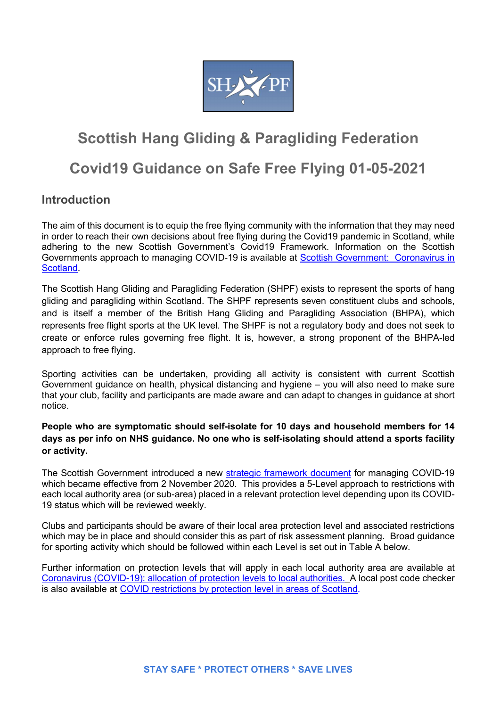

# Scottish Hang Gliding & Paragliding Federation

## Covid19 Guidance on Safe Free Flying 01-05-2021

## **Introduction**

The aim of this document is to equip the free flying community with the information that they may need in order to reach their own decisions about free flying during the Covid19 pandemic in Scotland, while adhering to the new Scottish Government's Covid19 Framework. Information on the Scottish Governments approach to managing COVID-19 is available at Scottish Government: Coronavirus in Scotland.

The Scottish Hang Gliding and Paragliding Federation (SHPF) exists to represent the sports of hang gliding and paragliding within Scotland. The SHPF represents seven constituent clubs and schools, and is itself a member of the British Hang Gliding and Paragliding Association (BHPA), which represents free flight sports at the UK level. The SHPF is not a regulatory body and does not seek to create or enforce rules governing free flight. It is, however, a strong proponent of the BHPA-led approach to free flying.

Sporting activities can be undertaken, providing all activity is consistent with current Scottish Government guidance on health, physical distancing and hygiene – you will also need to make sure that your club, facility and participants are made aware and can adapt to changes in guidance at short notice.

## People who are symptomatic should self-isolate for 10 days and household members for 14 days as per info on NHS guidance. No one who is self-isolating should attend a sports facility or activity.

The Scottish Government introduced a new strategic framework document for managing COVID-19 which became effective from 2 November 2020. This provides a 5-Level approach to restrictions with each local authority area (or sub-area) placed in a relevant protection level depending upon its COVID-19 status which will be reviewed weekly.

Clubs and participants should be aware of their local area protection level and associated restrictions which may be in place and should consider this as part of risk assessment planning. Broad guidance for sporting activity which should be followed within each Level is set out in Table A below.

Further information on protection levels that will apply in each local authority area are available at Coronavirus (COVID-19): allocation of protection levels to local authorities. A local post code checker is also available at COVID restrictions by protection level in areas of Scotland.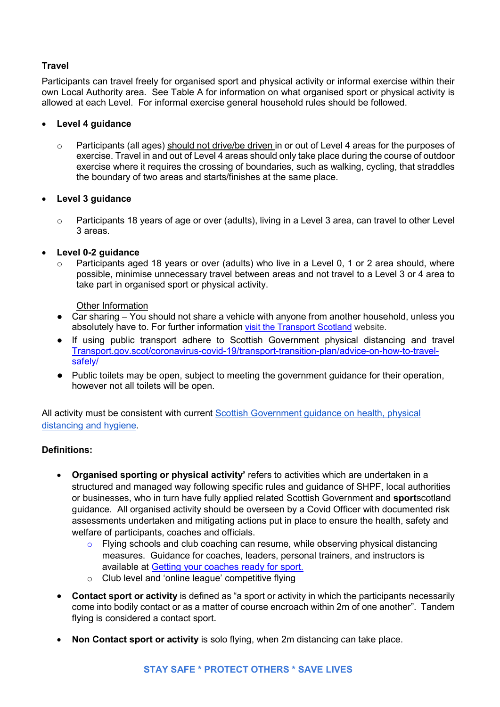## Travel

Participants can travel freely for organised sport and physical activity or informal exercise within their own Local Authority area. See Table A for information on what organised sport or physical activity is allowed at each Level. For informal exercise general household rules should be followed.

## Level 4 guidance

 $\circ$  Participants (all ages) should not drive/be driven in or out of Level 4 areas for the purposes of exercise. Travel in and out of Level 4 areas should only take place during the course of outdoor exercise where it requires the crossing of boundaries, such as walking, cycling, that straddles the boundary of two areas and starts/finishes at the same place.

## Level 3 guidance

o Participants 18 years of age or over (adults), living in a Level 3 area, can travel to other Level 3 areas.

## Level 0-2 guidance

Participants aged 18 years or over (adults) who live in a Level 0, 1 or 2 area should, where possible, minimise unnecessary travel between areas and not travel to a Level 3 or 4 area to take part in organised sport or physical activity.

## Other Information

- Car sharing You should not share a vehicle with anyone from another household, unless you absolutely have to. For further information visit the Transport Scotland website.
- If using public transport adhere to Scottish Government physical distancing and travel Transport.gov.scot/coronavirus-covid-19/transport-transition-plan/advice-on-how-to-travelsafely/
- Public toilets may be open, subject to meeting the government guidance for their operation, however not all toilets will be open.

All activity must be consistent with current Scottish Government guidance on health, physical distancing and hygiene.

## Definitions:

- Organised sporting or physical activity' refers to activities which are undertaken in a structured and managed way following specific rules and guidance of SHPF, local authorities or businesses, who in turn have fully applied related Scottish Government and sportscotland guidance. All organised activity should be overseen by a Covid Officer with documented risk assessments undertaken and mitigating actions put in place to ensure the health, safety and welfare of participants, coaches and officials.
	- o Flying schools and club coaching can resume, while observing physical distancing measures. Guidance for coaches, leaders, personal trainers, and instructors is available at Getting your coaches ready for sport.
	- o Club level and 'online league' competitive flying
- Contact sport or activity is defined as "a sport or activity in which the participants necessarily come into bodily contact or as a matter of course encroach within 2m of one another". Tandem flying is considered a contact sport.
- Non Contact sport or activity is solo flying, when 2m distancing can take place.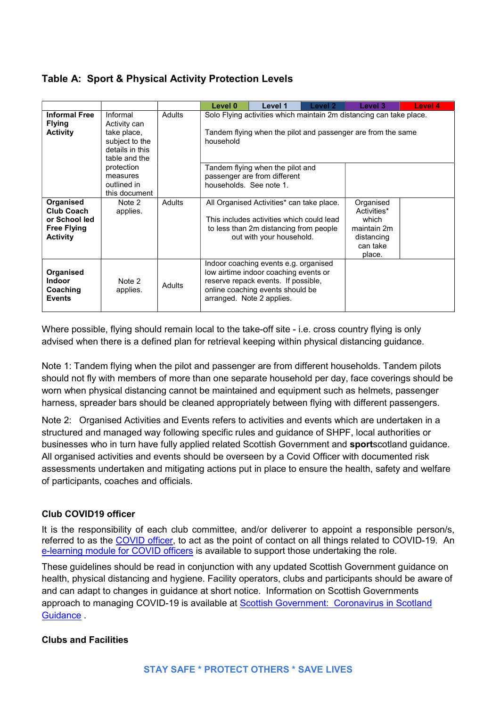## Table A: Sport & Physical Activity Protection Levels

|                                                                                          |                                                                                               |               | Level 0                                                                                                                                          | Level 1                                                                                                                                                      | Level 2 | Level 3                                                                              | Level 4 |
|------------------------------------------------------------------------------------------|-----------------------------------------------------------------------------------------------|---------------|--------------------------------------------------------------------------------------------------------------------------------------------------|--------------------------------------------------------------------------------------------------------------------------------------------------------------|---------|--------------------------------------------------------------------------------------|---------|
| <b>Informal Free</b><br><b>Flying</b><br><b>Activity</b>                                 | Informal<br>Activity can<br>take place,<br>subject to the<br>details in this<br>table and the | <b>Adults</b> | Solo Flying activities which maintain 2m distancing can take place.<br>Tandem flying when the pilot and passenger are from the same<br>household |                                                                                                                                                              |         |                                                                                      |         |
|                                                                                          | protection<br>measures<br>outlined in<br>this document                                        |               | households. See note 1.                                                                                                                          | Tandem flying when the pilot and<br>passenger are from different                                                                                             |         |                                                                                      |         |
| Organised<br><b>Club Coach</b><br>or School led<br><b>Free Flying</b><br><b>Activity</b> | Note 2<br>applies.                                                                            | Adults        |                                                                                                                                                  | All Organised Activities* can take place.<br>This includes activities which could lead<br>to less than 2m distancing from people<br>out with your household. |         | Organised<br>Activities*<br>which<br>maintain 2m<br>distancing<br>can take<br>place. |         |
| Organised<br><b>Indoor</b><br>Coaching<br><b>Events</b>                                  | Note 2<br>applies.                                                                            | <b>Adults</b> | arranged. Note 2 applies.                                                                                                                        | Indoor coaching events e.g. organised<br>low airtime indoor coaching events or<br>reserve repack events. If possible,<br>online coaching events should be    |         |                                                                                      |         |

Where possible, flying should remain local to the take-off site - i.e. cross country flying is only advised when there is a defined plan for retrieval keeping within physical distancing guidance.

Note 1: Tandem flying when the pilot and passenger are from different households. Tandem pilots should not fly with members of more than one separate household per day, face coverings should be worn when physical distancing cannot be maintained and equipment such as helmets, passenger harness, spreader bars should be cleaned appropriately between flying with different passengers.

Note 2: Organised Activities and Events refers to activities and events which are undertaken in a structured and managed way following specific rules and guidance of SHPF, local authorities or businesses who in turn have fully applied related Scottish Government and sportscotland guidance. All organised activities and events should be overseen by a Covid Officer with documented risk assessments undertaken and mitigating actions put in place to ensure the health, safety and welfare of participants, coaches and officials.

## Club COVID19 officer

It is the responsibility of each club committee, and/or deliverer to appoint a responsible person/s, referred to as the COVID officer, to act as the point of contact on all things related to COVID-19. An e-learning module for COVID officers is available to support those undertaking the role.

These guidelines should be read in conjunction with any updated Scottish Government guidance on health, physical distancing and hygiene. Facility operators, clubs and participants should be aware of and can adapt to changes in guidance at short notice. Information on Scottish Governments approach to managing COVID-19 is available at Scottish Government: Coronavirus in Scotland Guidance .

## Clubs and Facilities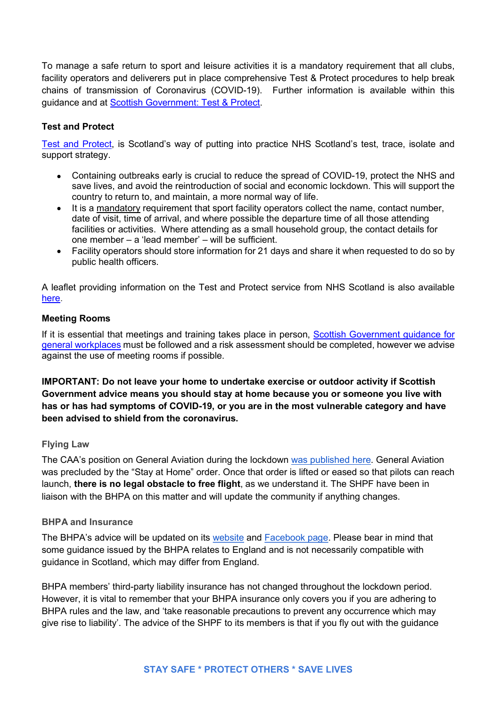To manage a safe return to sport and leisure activities it is a mandatory requirement that all clubs, facility operators and deliverers put in place comprehensive Test & Protect procedures to help break chains of transmission of Coronavirus (COVID-19). Further information is available within this guidance and at Scottish Government: Test & Protect.

## Test and Protect

Test and Protect, is Scotland's way of putting into practice NHS Scotland's test, trace, isolate and support strategy.

- Containing outbreaks early is crucial to reduce the spread of COVID-19, protect the NHS and save lives, and avoid the reintroduction of social and economic lockdown. This will support the country to return to, and maintain, a more normal way of life.
- It is a mandatory requirement that sport facility operators collect the name, contact number, date of visit, time of arrival, and where possible the departure time of all those attending facilities or activities. Where attending as a small household group, the contact details for one member – a 'lead member' – will be sufficient.
- Facility operators should store information for 21 days and share it when requested to do so by public health officers.

A leaflet providing information on the Test and Protect service from NHS Scotland is also available here.

## Meeting Rooms

If it is essential that meetings and training takes place in person, Scottish Government guidance for general workplaces must be followed and a risk assessment should be completed, however we advise against the use of meeting rooms if possible.

IMPORTANT: Do not leave your home to undertake exercise or outdoor activity if Scottish Government advice means you should stay at home because you or someone you live with has or has had symptoms of COVID-19, or you are in the most vulnerable category and have been advised to shield from the coronavirus.

## Flying Law

The CAA's position on General Aviation during the lockdown was published here. General Aviation was precluded by the "Stay at Home" order. Once that order is lifted or eased so that pilots can reach launch, there is no legal obstacle to free flight, as we understand it. The SHPF have been in liaison with the BHPA on this matter and will update the community if anything changes.

#### BHPA and Insurance

The BHPA's advice will be updated on its website and Facebook page. Please bear in mind that some guidance issued by the BHPA relates to England and is not necessarily compatible with guidance in Scotland, which may differ from England.

BHPA members' third-party liability insurance has not changed throughout the lockdown period. However, it is vital to remember that your BHPA insurance only covers you if you are adhering to BHPA rules and the law, and 'take reasonable precautions to prevent any occurrence which may give rise to liability'. The advice of the SHPF to its members is that if you fly out with the guidance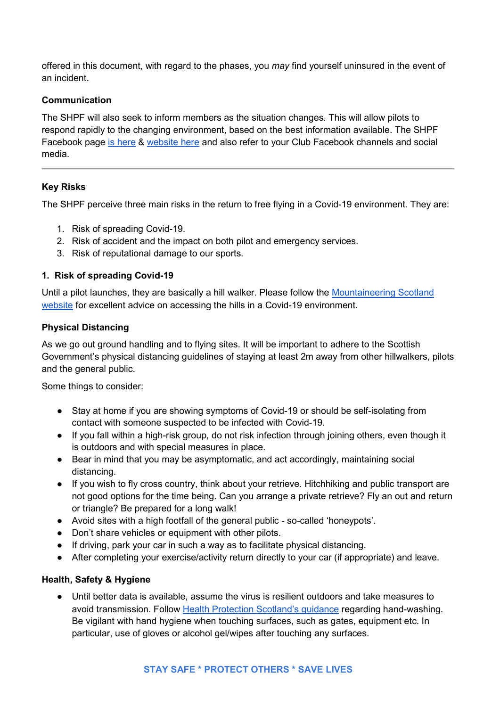offered in this document, with regard to the phases, you may find yourself uninsured in the event of an incident.

## Communication

The SHPF will also seek to inform members as the situation changes. This will allow pilots to respond rapidly to the changing environment, based on the best information available. The SHPF Facebook page is here & website here and also refer to your Club Facebook channels and social media.

## Key Risks

The SHPF perceive three main risks in the return to free flying in a Covid-19 environment. They are:

- 1. Risk of spreading Covid-19.
- 2. Risk of accident and the impact on both pilot and emergency services.
- 3. Risk of reputational damage to our sports.

## 1. Risk of spreading Covid-19

Until a pilot launches, they are basically a hill walker. Please follow the Mountaineering Scotland website for excellent advice on accessing the hills in a Covid-19 environment.

## Physical Distancing

As we go out ground handling and to flying sites. It will be important to adhere to the Scottish Government's physical distancing guidelines of staying at least 2m away from other hillwalkers, pilots and the general public.

Some things to consider:

- Stay at home if you are showing symptoms of Covid-19 or should be self-isolating from contact with someone suspected to be infected with Covid-19.
- If you fall within a high-risk group, do not risk infection through joining others, even though it is outdoors and with special measures in place.
- Bear in mind that you may be asymptomatic, and act accordingly, maintaining social distancing.
- If you wish to fly cross country, think about your retrieve. Hitchhiking and public transport are not good options for the time being. Can you arrange a private retrieve? Fly an out and return or triangle? Be prepared for a long walk!
- Avoid sites with a high footfall of the general public so-called 'honeypots'.
- Don't share vehicles or equipment with other pilots.
- If driving, park your car in such a way as to facilitate physical distancing.
- After completing your exercise/activity return directly to your car (if appropriate) and leave.

## Health, Safety & Hygiene

● Until better data is available, assume the virus is resilient outdoors and take measures to avoid transmission. Follow Health Protection Scotland's guidance regarding hand-washing. Be vigilant with hand hygiene when touching surfaces, such as gates, equipment etc. In particular, use of gloves or alcohol gel/wipes after touching any surfaces.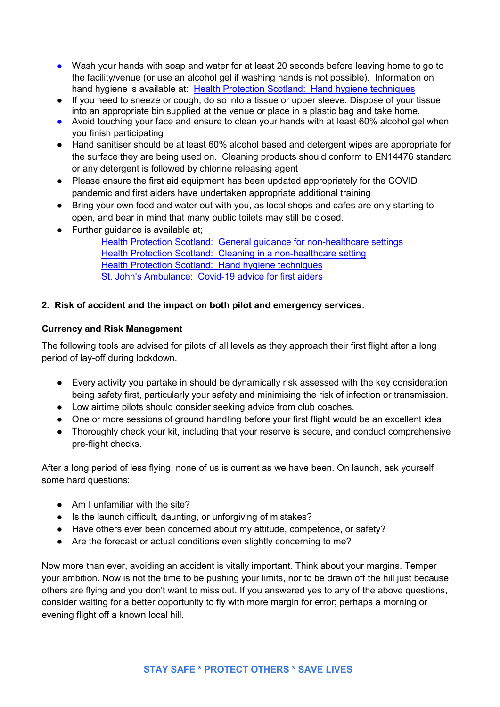- Wash your hands with soap and water for at least 20 seconds before leaving home to go to the facility/venue (or use an alcohol gel if washing hands is not possible). Information on hand hygiene is available at: Health Protection Scotland: Hand hygiene techniques
- If you need to sneeze or cough, do so into a tissue or upper sleeve. Dispose of your tissue into an appropriate bin supplied at the venue or place in a plastic bag and take home.
- Avoid touching your face and ensure to clean your hands with at least 60% alcohol gel when you finish participating
- Hand sanitiser should be at least 60% alcohol based and detergent wipes are appropriate for the surface they are being used on. Cleaning products should conform to EN14476 standard or any detergent is followed by chlorine releasing agent
- Please ensure the first aid equipment has been updated appropriately for the COVID pandemic and first aiders have undertaken appropriate additional training
- Bring your own food and water out with you, as local shops and cafes are only starting to open, and bear in mind that many public toilets may still be closed.
- Further guidance is available at;

Health Protection Scotland: General guidance for non-healthcare settings Health Protection Scotland: Cleaning in a non-healthcare setting Health Protection Scotland: Hand hygiene techniques St. John's Ambulance: Covid-19 advice for first aiders

## 2. Risk of accident and the impact on both pilot and emergency services.

## Currency and Risk Management

The following tools are advised for pilots of all levels as they approach their first flight after a long period of lay-off during lockdown.

- Every activity you partake in should be dynamically risk assessed with the key consideration being safety first, particularly your safety and minimising the risk of infection or transmission.
- Low airtime pilots should consider seeking advice from club coaches.
- One or more sessions of ground handling before your first flight would be an excellent idea.
- Thoroughly check your kit, including that your reserve is secure, and conduct comprehensive pre-flight checks.

After a long period of less flying, none of us is current as we have been. On launch, ask yourself some hard questions:

- Am I unfamiliar with the site?
- Is the launch difficult, daunting, or unforgiving of mistakes?
- Have others ever been concerned about my attitude, competence, or safety?
- Are the forecast or actual conditions even slightly concerning to me?

Now more than ever, avoiding an accident is vitally important. Think about your margins. Temper your ambition. Now is not the time to be pushing your limits, nor to be drawn off the hill just because others are flying and you don't want to miss out. If you answered yes to any of the above questions, consider waiting for a better opportunity to fly with more margin for error; perhaps a morning or evening flight off a known local hill.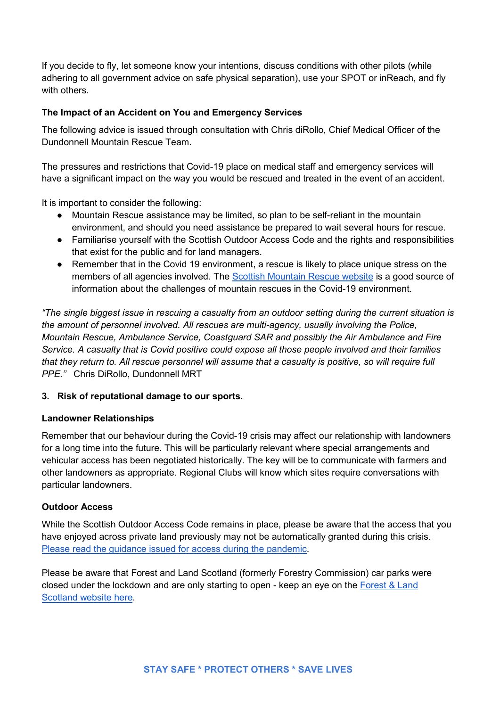If you decide to fly, let someone know your intentions, discuss conditions with other pilots (while adhering to all government advice on safe physical separation), use your SPOT or inReach, and fly with others.

## The Impact of an Accident on You and Emergency Services

The following advice is issued through consultation with Chris diRollo, Chief Medical Officer of the Dundonnell Mountain Rescue Team.

The pressures and restrictions that Covid-19 place on medical staff and emergency services will have a significant impact on the way you would be rescued and treated in the event of an accident.

It is important to consider the following:

- Mountain Rescue assistance may be limited, so plan to be self-reliant in the mountain environment, and should you need assistance be prepared to wait several hours for rescue.
- Familiarise yourself with the Scottish Outdoor Access Code and the rights and responsibilities that exist for the public and for land managers.
- Remember that in the Covid 19 environment, a rescue is likely to place unique stress on the members of all agencies involved. The Scottish Mountain Rescue website is a good source of information about the challenges of mountain rescues in the Covid-19 environment.

"The single biggest issue in rescuing a casualty from an outdoor setting during the current situation is the amount of personnel involved. All rescues are multi-agency, usually involving the Police, Mountain Rescue, Ambulance Service, Coastguard SAR and possibly the Air Ambulance and Fire Service. A casualty that is Covid positive could expose all those people involved and their families that they return to. All rescue personnel will assume that a casualty is positive, so will require full PPE." Chris DiRollo, Dundonnell MRT

## 3. Risk of reputational damage to our sports.

## Landowner Relationships

Remember that our behaviour during the Covid-19 crisis may affect our relationship with landowners for a long time into the future. This will be particularly relevant where special arrangements and vehicular access has been negotiated historically. The key will be to communicate with farmers and other landowners as appropriate. Regional Clubs will know which sites require conversations with particular landowners.

## Outdoor Access

While the Scottish Outdoor Access Code remains in place, please be aware that the access that you have enjoyed across private land previously may not be automatically granted during this crisis. Please read the guidance issued for access during the pandemic.

Please be aware that Forest and Land Scotland (formerly Forestry Commission) car parks were closed under the lockdown and are only starting to open - keep an eye on the Forest & Land Scotland website here.